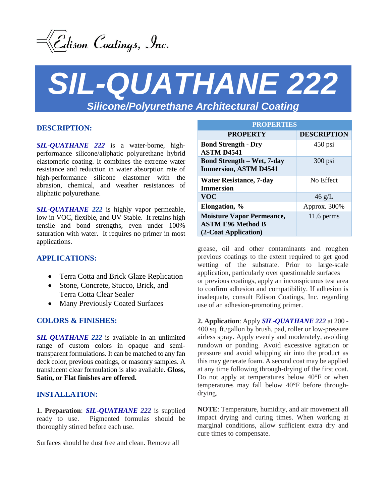

# *SIL-QUATHANE 222 Silicone/Polyurethane Architectural Coating*

## **DESCRIPTION:**

*SIL-QUATHANE 222* is a water-borne, highperformance silicone/aliphatic polyurethane hybrid elastomeric coating. It combines the extreme water resistance and reduction in water absorption rate of high-performance silicone elastomer with the abrasion, chemical, and weather resistances of aliphatic polyurethane.

*SIL-QUATHANE 222* is highly vapor permeable, low in VOC, flexible, and UV Stable. It retains high tensile and bond strengths, even under 100% saturation with water. It requires no primer in most applications.

#### **APPLICATIONS:**

- Terra Cotta and Brick Glaze Replication
- Stone, Concrete, Stucco, Brick, and Terra Cotta Clear Sealer
- Many Previously Coated Surfaces

#### **COLORS & FINISHES:**

*SIL-QUATHANE 222* is available in an unlimited range of custom colors in opaque and semitransparent formulations. It can be matched to any fan deck color, previous coatings, or masonry samples. A translucent clear formulation is also available. **Gloss, Satin, or Flat finishes are offered.**

#### **INSTALLATION:**

**1. Preparation**: *SIL-QUATHANE 222* is supplied ready to use. Pigmented formulas should be thoroughly stirred before each use.

Surfaces should be dust free and clean. Remove all

| <b>PROPERTIES</b>                                                                    |                    |
|--------------------------------------------------------------------------------------|--------------------|
| <b>PROPERTY</b>                                                                      | <b>DESCRIPTION</b> |
| <b>Bond Strength - Dry</b><br><b>ASTM D4541</b>                                      | $450$ psi          |
| <b>Bond Strength – Wet, 7-day</b><br><b>Immersion, ASTM D4541</b>                    | $300$ psi          |
| <b>Water Resistance, 7-day</b><br><b>Immersion</b>                                   | No Effect          |
| <b>VOC</b>                                                                           | $46 \text{ g/L}$   |
| Elongation, %                                                                        | Approx. 300%       |
| <b>Moisture Vapor Permeance,</b><br><b>ASTM E96 Method B</b><br>(2-Coat Application) | $11.6$ perms       |

grease, oil and other contaminants and roughen previous coatings to the extent required to get good wetting of the substrate. Prior to large-scale application, particularly over questionable surfaces or previous coatings, apply an inconspicuous test area to confirm adhesion and compatibility. If adhesion is inadequate, consult Edison Coatings, Inc. regarding use of an adhesion-promoting primer.

**2. Application**: Apply *SIL-QUATHANE 222* at 200 - 400 sq. ft./gallon by brush, pad, roller or low-pressure airless spray. Apply evenly and moderately, avoiding rundown or ponding. Avoid excessive agitation or pressure and avoid whipping air into the product as this may generate foam. A second coat may be applied at any time following through-drying of the first coat. Do not apply at temperatures below 40°F or when temperatures may fall below 40°F before throughdrying.

**NOTE**: Temperature, humidity, and air movement all impact drying and curing times. When working at marginal conditions, allow sufficient extra dry and cure times to compensate.